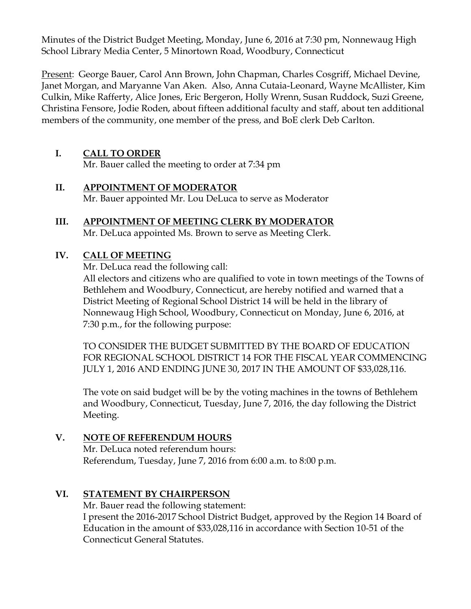Minutes of the District Budget Meeting, Monday, June 6, 2016 at 7:30 pm, Nonnewaug High School Library Media Center, 5 Minortown Road, Woodbury, Connecticut

Present: George Bauer, Carol Ann Brown, John Chapman, Charles Cosgriff, Michael Devine, Janet Morgan, and Maryanne Van Aken. Also, Anna Cutaia-Leonard, Wayne McAllister, Kim Culkin, Mike Rafferty, Alice Jones, Eric Bergeron, Holly Wrenn, Susan Ruddock, Suzi Greene, Christina Fensore, Jodie Roden, about fifteen additional faculty and staff, about ten additional members of the community, one member of the press, and BoE clerk Deb Carlton.

## **I. CALL TO ORDER**

Mr. Bauer called the meeting to order at 7:34 pm

- **II. APPOINTMENT OF MODERATOR** Mr. Bauer appointed Mr. Lou DeLuca to serve as Moderator
- **III. APPOINTMENT OF MEETING CLERK BY MODERATOR** Mr. DeLuca appointed Ms. Brown to serve as Meeting Clerk.

### **IV. CALL OF MEETING**

Mr. DeLuca read the following call:

All electors and citizens who are qualified to vote in town meetings of the Towns of Bethlehem and Woodbury, Connecticut, are hereby notified and warned that a District Meeting of Regional School District 14 will be held in the library of Nonnewaug High School, Woodbury, Connecticut on Monday, June 6, 2016, at 7:30 p.m., for the following purpose:

TO CONSIDER THE BUDGET SUBMITTED BY THE BOARD OF EDUCATION FOR REGIONAL SCHOOL DISTRICT 14 FOR THE FISCAL YEAR COMMENCING JULY 1, 2016 AND ENDING JUNE 30, 2017 IN THE AMOUNT OF \$33,028,116.

The vote on said budget will be by the voting machines in the towns of Bethlehem and Woodbury, Connecticut, Tuesday, June 7, 2016, the day following the District Meeting.

### **V. NOTE OF REFERENDUM HOURS**

Mr. DeLuca noted referendum hours: Referendum, Tuesday, June 7, 2016 from 6:00 a.m. to 8:00 p.m.

### **VI. STATEMENT BY CHAIRPERSON**

Mr. Bauer read the following statement: I present the 2016-2017 School District Budget, approved by the Region 14 Board of Education in the amount of \$33,028,116 in accordance with Section 10-51 of the Connecticut General Statutes.